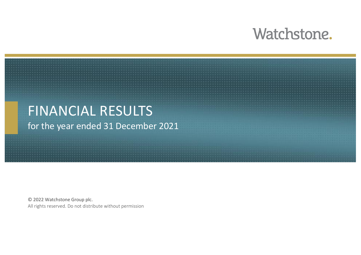### Watchstone.

#### FINANCIAL RESULTS for the year ended 31 December 2021

© 2022 Watchstone Group plc. All rights reserved. Do not distribute without permission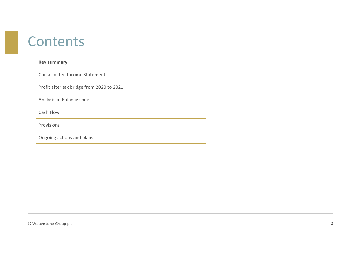#### **Contents**

#### **Key summary**

Consolidated Income Statement

Profit after tax bridge from 2020 to 2021

Analysis of Balance sheet

Cash Flow

Provisions

Ongoing actions and plans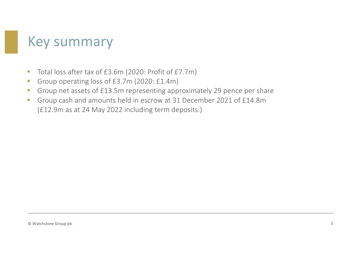### Key summary

- Total loss after tax of £3.6m (2020: Profit of £7.7m)
- Group operating loss of £3.7m (2020: £1.4m)
- Group net assets of £13.5m representing approximately 29 pence per share
- § Group cash and amounts held in escrow at 31 December 2021 of £14.8m (£12.9m as at 24 May 2022 including term deposits.)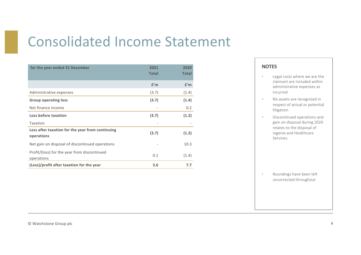## Consolidated Income Statement

| for the year ended 31 December                                 | 2021<br><b>Total</b> | 2020<br><b>Total</b> |
|----------------------------------------------------------------|----------------------|----------------------|
|                                                                | f'm                  | f'm                  |
| Administrative expenses                                        | (3.7)                | (1.4)                |
| <b>Group operating loss</b>                                    | (3.7)                | (1.4)                |
| Net finance income                                             |                      | 0.2                  |
| Loss before taxation                                           | (3.7)                | (1.2)                |
| Taxation                                                       |                      |                      |
| Loss after taxation for the year from continuing<br>operations | (3.7)                | (1.2)                |
| Net gain on disposal of discontinued operations                |                      | 10.3                 |
| Profit/(loss) for the year from discontinued<br>operations     | 0.1                  | (1.4)                |
| (Loss)/profit after taxation for the year                      | 3.6                  | 7.7                  |

#### **NOTES**

- Legal costs where we are the claimant are included within administrative expenses as incurred
- No assets are recognised in respect of actual or potential litigation
- Discontinued operations and gain on disposal during 2020 relates to the disposal of ingenie and Healthcare Services.

• Roundings have been left uncorrected throughout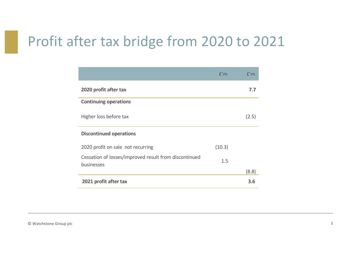#### Profit after tax bridge from 2020 to 2021

|                                                                     | f'm    | f'm   |
|---------------------------------------------------------------------|--------|-------|
| 2020 profit after tax                                               |        | 7.7   |
| <b>Continuing operations</b>                                        |        |       |
| Higher loss before tax                                              |        | (2.5) |
| <b>Discontinued operations</b>                                      |        |       |
| 2020 profit on sale not recurring                                   | (10.3) |       |
| Cessation of losses/improved result from discontinued<br>businesses | 1.5    |       |
|                                                                     |        | (8.8) |
| 2021 profit after tax                                               |        | 3.6   |

© Watchstone Group plc 5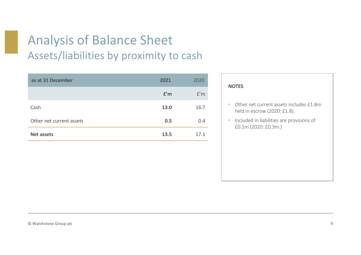#### Analysis of Balance Sheet Assets/liabilities by proximity to cash

| as at 31 December        | 2021 | 2020 |
|--------------------------|------|------|
|                          | f'm  | f'm  |
| Cash                     | 13.0 | 16.7 |
| Other net current assets | 0.5  | 0.4  |
| <b>Net assets</b>        | 13.5 | 17.1 |

| <b>NOTES</b>                                                            |
|-------------------------------------------------------------------------|
| Other net current assets includes £1.8m<br>held in escrow (2020: £1.8). |
| Included in liabilities are provisions of<br>£0.1m (2020: £0.3m.)       |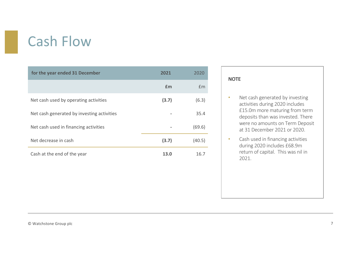# Cash Flow

| for the year ended 31 December             | 2021  | 2020   |
|--------------------------------------------|-------|--------|
|                                            | £m    | £m     |
| Net cash used by operating activities      | (3.7) | (6.3)  |
| Net cash generated by investing activities |       | 35.4   |
| Net cash used in financing activities      |       | (69.6) |
| Net decrease in cash                       | (3.7) | (40.5) |
| Cash at the end of the year                | 13.0  | 16.7   |

#### **NOTE**

- Net cash generated by investing activities during 2020 includes £15.0m more maturing from term deposits than was invested. There were no amounts on Term Deposit at 31 December 2021 or 2020.
- Cash used in financing activities during 2020 includes £68.9m return of capital. This was nil in 2021.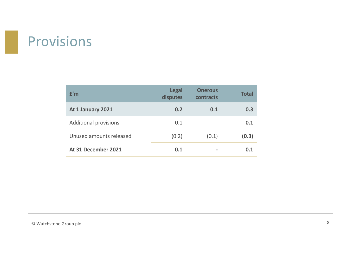### Provisions

| f'm                          | <b>Legal</b><br>disputes | <b>Onerous</b><br>contracts | <b>Total</b> |
|------------------------------|--------------------------|-----------------------------|--------------|
| At 1 January 2021            | 0.2                      | 0.1                         | 0.3          |
| <b>Additional provisions</b> | 0.1                      |                             | 0.1          |
| Unused amounts released      | (0.2)                    | (0.1)                       | (0.3)        |
| At 31 December 2021          | 0.1                      |                             | 0.1          |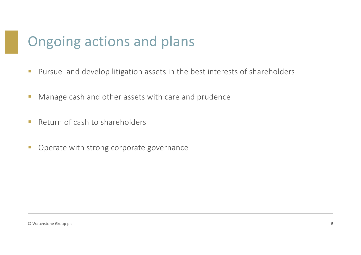## Ongoing actions and plans

- Pursue and develop litigation assets in the best interests of shareholders
- Manage cash and other assets with care and prudence
- Return of cash to shareholders
- **Operate with strong corporate governance**